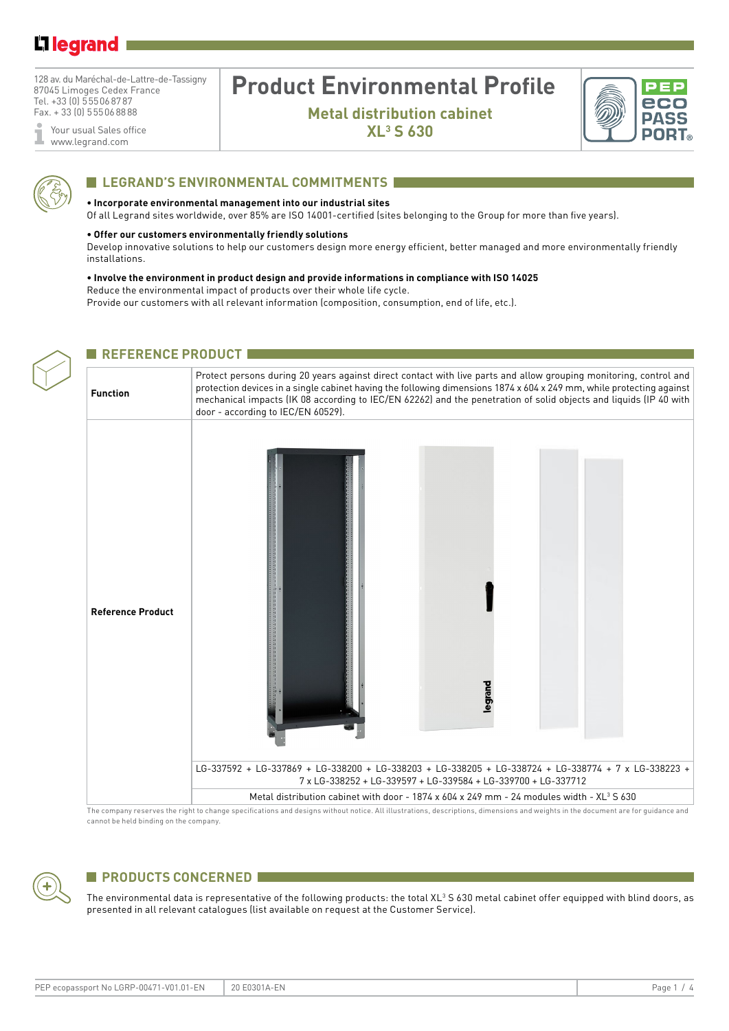# L1 legrand

128 av. du Maréchal-de-Lattre-de-Tassigny 87045 Limoges Cedex France Tel. +33 (0) 555068787 Fax. + 33 (0) 555068888

Your usual Sales office Ĩ www.legrand.com

# **Product Environmental Profile**

**Metal distribution cabinet XL3 S 630**





# **Legrand's environmental commitments**

#### **• Incorporate environmental management into our industrial sites**

Of all Legrand sites worldwide, over 85% are ISO 14001-certified (sites belonging to the Group for more than five years).

#### **• Offer our customers environmentally friendly solutions**

**EDECEPTANCE PRODUCT AND** 

Develop innovative solutions to help our customers design more energy efficient, better managed and more environmentally friendly installations.

### **• Involve the environment in product design and provide informations in compliance with ISO 14025** Reduce the environmental impact of products over their whole life cycle.

Provide our customers with all relevant information (composition, consumption, end of life, etc.).

| <b>Function</b>          | Protect persons during 20 years against direct contact with live parts and allow grouping monitoring, control and<br>protection devices in a single cabinet having the following dimensions 1874 x 604 x 249 mm, while protecting against<br>mechanical impacts (IK 08 according to IEC/EN 62262) and the penetration of solid objects and liquids (IP 40 with<br>door - according to IEC/EN 60529). |  |  |  |  |  |
|--------------------------|------------------------------------------------------------------------------------------------------------------------------------------------------------------------------------------------------------------------------------------------------------------------------------------------------------------------------------------------------------------------------------------------------|--|--|--|--|--|
| <b>Reference Product</b> | legrand                                                                                                                                                                                                                                                                                                                                                                                              |  |  |  |  |  |
|                          | LG-337592 + LG-337869 + LG-338200 + LG-338203 + LG-338205 + LG-338724 + LG-338774 + 7 x LG-338223 +<br>7 x LG-338252 + LG-339597 + LG-339584 + LG-339700 + LG-337712                                                                                                                                                                                                                                 |  |  |  |  |  |
|                          | Metal distribution cabinet with door - 1874 x 604 x 249 mm - 24 modules width - XL <sup>3</sup> S 630                                                                                                                                                                                                                                                                                                |  |  |  |  |  |

cannot be held binding on the company.

# **PRODUCTS CONCERNED**

The environmental data is representative of the following products: the total XL $^3$ S 630 metal cabinet offer equipped with blind doors, as presented in all relevant catalogues (list available on request at the Customer Service).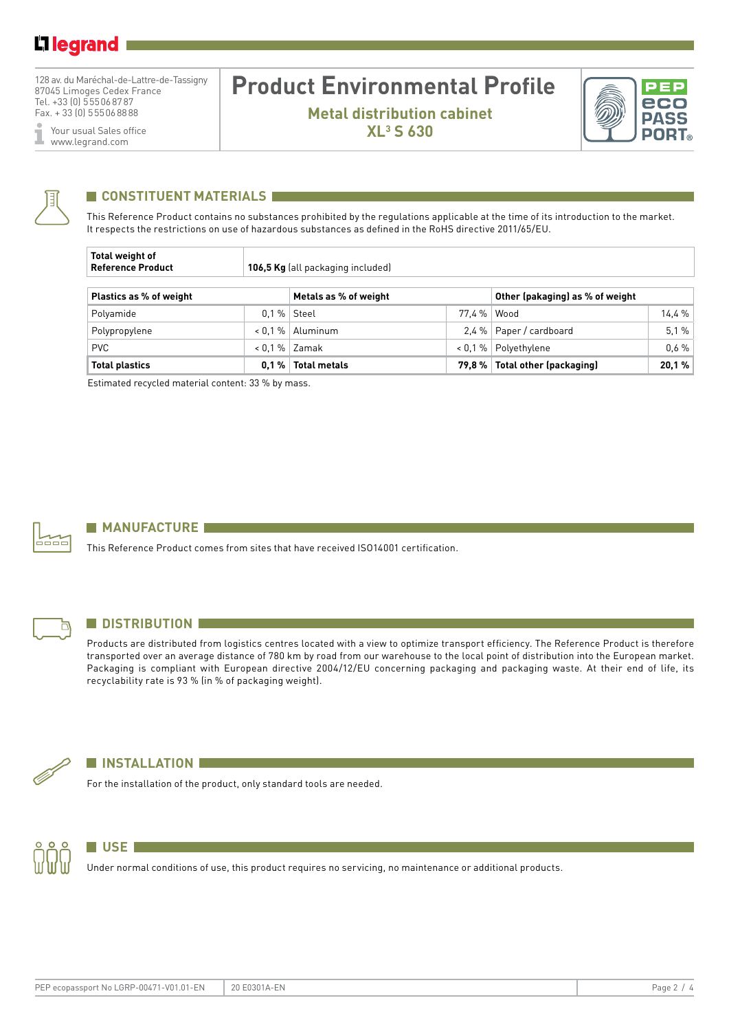128 av. du Maréchal-de-Lattre-de-Tassigny 87045 Limoges Cedex France Tel. +33 (0) 555068787 Fax. + 33 (0) 555068888

Your usual Sales office I www.legrand.com

# **Product Environmental Profile**

**Metal distribution cabinet XL3 S 630**





## **CONSTITUENT MATERIALS**

This Reference Product contains no substances prohibited by the regulations applicable at the time of its introduction to the market. It respects the restrictions on use of hazardous substances as defined in the RoHS directive 2011/65/EU.

| Total weight of<br><b>Reference Product</b> |         | 106,5 Kg (all packaging included) |            |                                  |       |  |  |  |  |  |
|---------------------------------------------|---------|-----------------------------------|------------|----------------------------------|-------|--|--|--|--|--|
| Plastics as % of weight                     |         | Metals as % of weight             |            | Other (pakaging) as % of weight  |       |  |  |  |  |  |
| Polyamide                                   |         | $0.1\%$ Steel                     | 77.4%      | Wood                             | 14.4% |  |  |  |  |  |
| Polypropylene                               |         | $< 0.1 %$ Aluminum                |            | 2.4 %   Paper / cardboard        | 5.1%  |  |  |  |  |  |
| <b>PVC</b>                                  |         | $< 0.1 %$ Zamak                   | $< 0.1 \%$ | Polyethylene                     | 0.6%  |  |  |  |  |  |
| <b>Total plastics</b>                       | $0.1\%$ | <b>Total metals</b>               |            | 79,8 %   Total other (packaging) | 20,1% |  |  |  |  |  |

Estimated recycled material content: 33 % by mass.



### **MANUFACTURE**

This Reference Product comes from sites that have received ISO14001 certification.



### **N** DISTRIBUTION

Products are distributed from logistics centres located with a view to optimize transport efficiency. The Reference Product is therefore transported over an average distance of 780 km by road from our warehouse to the local point of distribution into the European market. Packaging is compliant with European directive 2004/12/EU concerning packaging and packaging waste. At their end of life, its recyclability rate is 93 % (in % of packaging weight).



#### **N** INSTALLATION

For the installation of the product, only standard tools are needed.



## **USE** *<u>use <b>use</u>*

Under normal conditions of use, this product requires no servicing, no maintenance or additional products.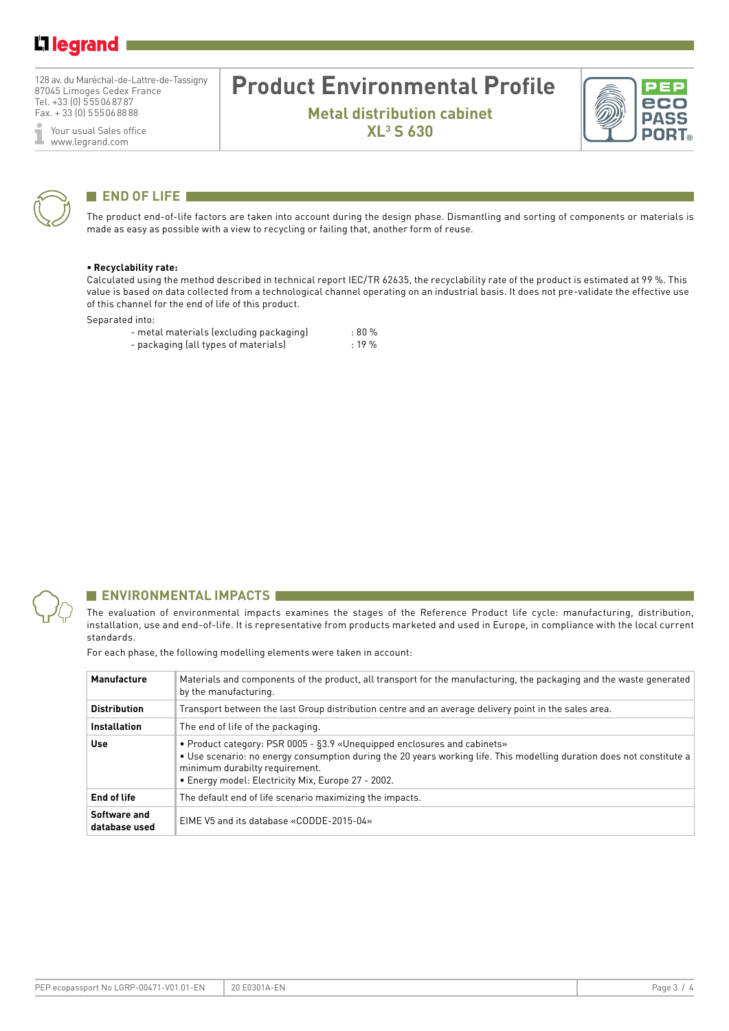128 av. du Maréchal-de-Lattre-de-Tassigny 87045 Limoges Cedex France Tel. +33 (0) 555068787 Fax. + 33 (0) 555068888

Your usual Sales office ĭ www.legrand.com

# **Product Environmental Profile**

**Metal distribution cabinet XL3 S 630**





### **END OF LIFE I**

The product end-of-life factors are taken into account during the design phase. Dismantling and sorting of components or materials is made as easy as possible with a view to recycling or failing that, another form of reuse.

#### **• Recyclability rate:**

Calculated using the method described in technical report IEC/TR 62635, the recyclability rate of the product is estimated at 99 %. This value is based on data collected from a technological channel operating on an industrial basis. It does not pre-validate the effective use of this channel for the end of life of this product.

#### Separated into:

| - metal materials (excluding packaging) | :80%      |
|-----------------------------------------|-----------|
| - packaging (all types of materials)    | $: 19 \%$ |



#### **ENVIRONMENTAL IMPACTS**

The evaluation of environmental impacts examines the stages of the Reference Product life cycle: manufacturing, distribution, installation, use and end-of-life. It is representative from products marketed and used in Europe, in compliance with the local current standards.

For each phase, the following modelling elements were taken in account:

| <b>Manufacture</b>            | Materials and components of the product, all transport for the manufacturing, the packaging and the waste generated<br>by the manufacturing.                                                                                                                                              |
|-------------------------------|-------------------------------------------------------------------------------------------------------------------------------------------------------------------------------------------------------------------------------------------------------------------------------------------|
| <b>Distribution</b>           | Transport between the last Group distribution centre and an average delivery point in the sales area.                                                                                                                                                                                     |
| <b>Installation</b>           | The end of life of the packaging.                                                                                                                                                                                                                                                         |
| Use                           | • Product category: PSR 0005 - §3.9 «Unequipped enclosures and cabinets»<br>. Use scenario: no energy consumption during the 20 years working life. This modelling duration does not constitute a<br>minimum durabilty requirement.<br>• Energy model: Electricity Mix, Europe 27 - 2002. |
| End of life                   | The default end of life scenario maximizing the impacts.                                                                                                                                                                                                                                  |
| Software and<br>database used | EIME V5 and its database «CODDE-2015-04»                                                                                                                                                                                                                                                  |